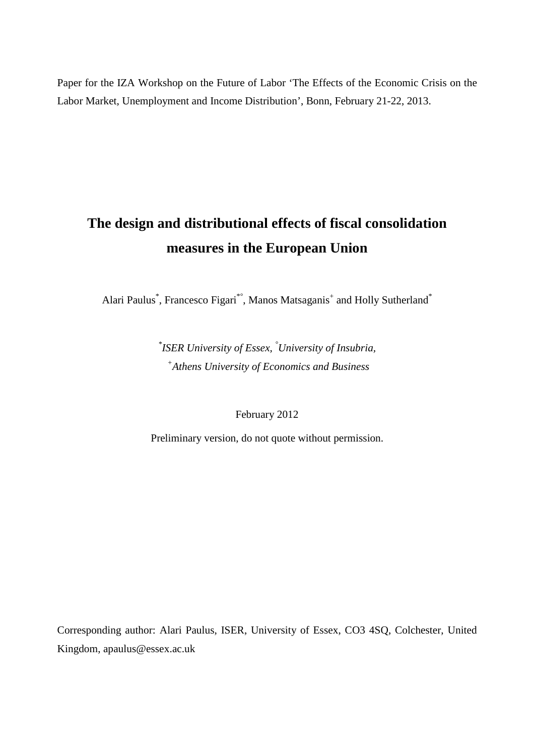Paper for the IZA Workshop on the Future of Labor 'The Effects of the Economic Crisis on the Labor Market, Unemployment and Income Distribution', Bonn, February 21-22, 2013.

# **The design and distributional effects of fiscal consolidation measures in the European Union**

Alari Paulus<sup>\*</sup>, Francesco Figari<sup>\*°</sup>, Manos Matsaganis<sup>+</sup> and Holly Sutherland<sup>\*</sup>

*\* ISER University of Essex, °University of Insubria, + Athens University of Economics and Business* 

February 2012

Preliminary version, do not quote without permission.

Corresponding author: Alari Paulus, ISER, University of Essex, CO3 4SQ, Colchester, United Kingdom, apaulus@essex.ac.uk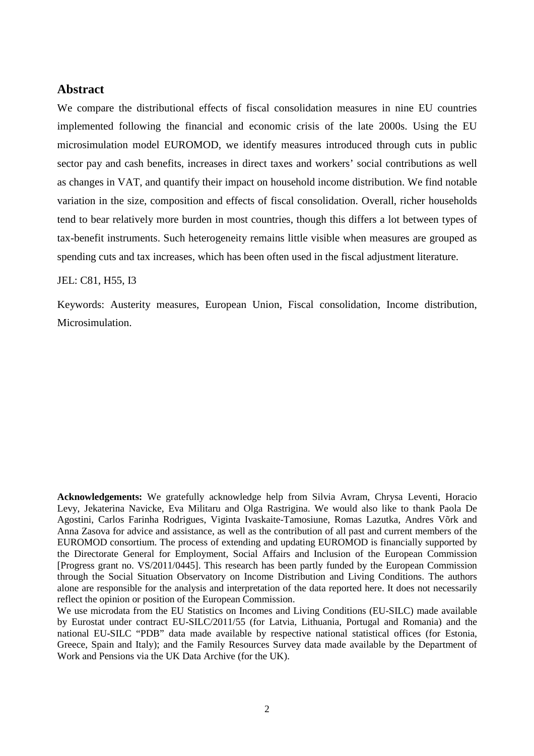## **Abstract**

We compare the distributional effects of fiscal consolidation measures in nine EU countries implemented following the financial and economic crisis of the late 2000s. Using the EU microsimulation model EUROMOD, we identify measures introduced through cuts in public sector pay and cash benefits, increases in direct taxes and workers' social contributions as well as changes in VAT, and quantify their impact on household income distribution. We find notable variation in the size, composition and effects of fiscal consolidation. Overall, richer households tend to bear relatively more burden in most countries, though this differs a lot between types of tax-benefit instruments. Such heterogeneity remains little visible when measures are grouped as spending cuts and tax increases, which has been often used in the fiscal adjustment literature.

#### JEL: C81, H55, I3

Keywords: Austerity measures, European Union, Fiscal consolidation, Income distribution, Microsimulation.

**Acknowledgements:** We gratefully acknowledge help from Silvia Avram, Chrysa Leventi, Horacio Levy, Jekaterina Navicke, Eva Militaru and Olga Rastrigina. We would also like to thank Paola De Agostini, Carlos Farinha Rodrigues, Viginta Ivaskaite-Tamosiune, Romas Lazutka, Andres Võrk and Anna Zasova for advice and assistance, as well as the contribution of all past and current members of the EUROMOD consortium. The process of extending and updating EUROMOD is financially supported by the Directorate General for Employment, Social Affairs and Inclusion of the European Commission [Progress grant no. VS/2011/0445]. This research has been partly funded by the European Commission through the Social Situation Observatory on Income Distribution and Living Conditions. The authors alone are responsible for the analysis and interpretation of the data reported here. It does not necessarily reflect the opinion or position of the European Commission.

We use microdata from the EU Statistics on Incomes and Living Conditions (EU-SILC) made available by Eurostat under contract EU-SILC/2011/55 (for Latvia, Lithuania, Portugal and Romania) and the national EU-SILC "PDB" data made available by respective national statistical offices (for Estonia, Greece, Spain and Italy); and the Family Resources Survey data made available by the Department of Work and Pensions via the UK Data Archive (for the UK).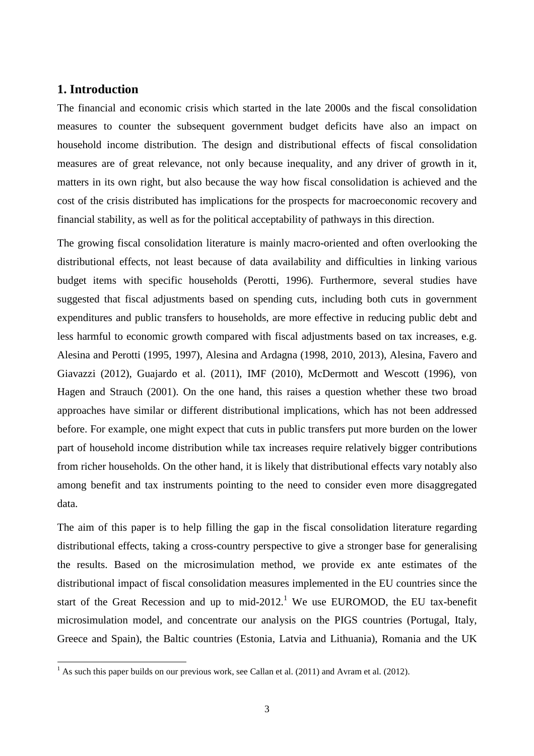# **1. Introduction**

The financial and economic crisis which started in the late 2000s and the fiscal consolidation measures to counter the subsequent government budget deficits have also an impact on household income distribution. The design and distributional effects of fiscal consolidation measures are of great relevance, not only because inequality, and any driver of growth in it, matters in its own right, but also because the way how fiscal consolidation is achieved and the cost of the crisis distributed has implications for the prospects for macroeconomic recovery and financial stability, as well as for the political acceptability of pathways in this direction.

The growing fiscal consolidation literature is mainly macro-oriented and often overlooking the distributional effects, not least because of data availability and difficulties in linking various budget items with specific households (Perotti, 1996). Furthermore, several studies have suggested that fiscal adjustments based on spending cuts, including both cuts in government expenditures and public transfers to households, are more effective in reducing public debt and less harmful to economic growth compared with fiscal adjustments based on tax increases, e.g. Alesina and Perotti (1995, 1997), Alesina and Ardagna (1998, 2010, 2013), Alesina, Favero and Giavazzi (2012), Guajardo et al. (2011), IMF (2010), McDermott and Wescott (1996), von Hagen and Strauch (2001). On the one hand, this raises a question whether these two broad approaches have similar or different distributional implications, which has not been addressed before. For example, one might expect that cuts in public transfers put more burden on the lower part of household income distribution while tax increases require relatively bigger contributions from richer households. On the other hand, it is likely that distributional effects vary notably also among benefit and tax instruments pointing to the need to consider even more disaggregated data.

The aim of this paper is to help filling the gap in the fiscal consolidation literature regarding distributional effects, taking a cross-country perspective to give a stronger base for generalising the results. Based on the microsimulation method, we provide ex ante estimates of the distributional impact of fiscal consolidation measures implemented in the EU countries since the start of the Great Recession and up to mid-2012.<sup>1</sup> We use EUROMOD, the EU tax-benefit microsimulation model, and concentrate our analysis on the PIGS countries (Portugal, Italy, Greece and Spain), the Baltic countries (Estonia, Latvia and Lithuania), Romania and the UK

<sup>&</sup>lt;sup>1</sup> As such this paper builds on our previous work, see Callan et al. (2011) and Avram et al. (2012).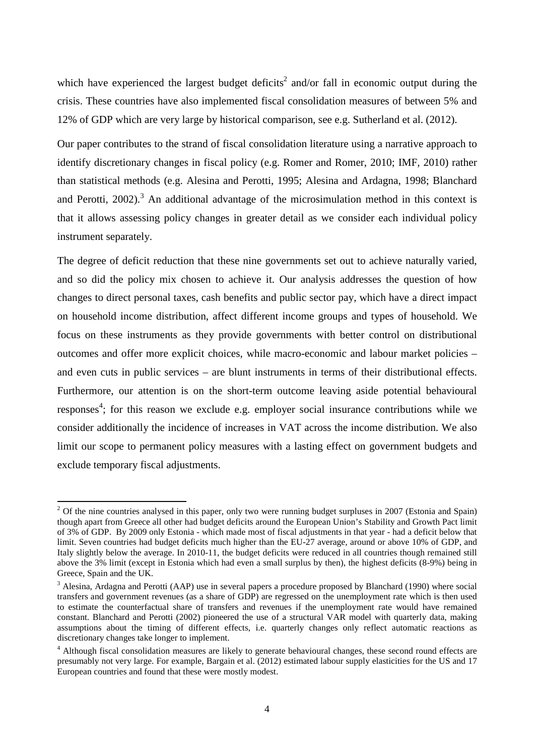which have experienced the largest budget deficits<sup>2</sup> and/or fall in economic output during the crisis. These countries have also implemented fiscal consolidation measures of between 5% and 12% of GDP which are very large by historical comparison, see e.g. Sutherland et al. (2012).

Our paper contributes to the strand of fiscal consolidation literature using a narrative approach to identify discretionary changes in fiscal policy (e.g. Romer and Romer, 2010; IMF, 2010) rather than statistical methods (e.g. Alesina and Perotti, 1995; Alesina and Ardagna, 1998; Blanchard and Perotti,  $2002$ ).<sup>3</sup> An additional advantage of the microsimulation method in this context is that it allows assessing policy changes in greater detail as we consider each individual policy instrument separately.

The degree of deficit reduction that these nine governments set out to achieve naturally varied, and so did the policy mix chosen to achieve it. Our analysis addresses the question of how changes to direct personal taxes, cash benefits and public sector pay, which have a direct impact on household income distribution, affect different income groups and types of household. We focus on these instruments as they provide governments with better control on distributional outcomes and offer more explicit choices, while macro-economic and labour market policies – and even cuts in public services – are blunt instruments in terms of their distributional effects. Furthermore, our attention is on the short-term outcome leaving aside potential behavioural responses<sup>4</sup>; for this reason we exclude e.g. employer social insurance contributions while we consider additionally the incidence of increases in VAT across the income distribution. We also limit our scope to permanent policy measures with a lasting effect on government budgets and exclude temporary fiscal adjustments.

<sup>&</sup>lt;sup>2</sup> Of the nine countries analysed in this paper, only two were running budget surpluses in 2007 (Estonia and Spain) though apart from Greece all other had budget deficits around the European Union's Stability and Growth Pact limit of 3% of GDP. By 2009 only Estonia - which made most of fiscal adjustments in that year - had a deficit below that limit. Seven countries had budget deficits much higher than the EU-27 average, around or above 10% of GDP, and Italy slightly below the average. In 2010-11, the budget deficits were reduced in all countries though remained still above the 3% limit (except in Estonia which had even a small surplus by then), the highest deficits (8-9%) being in Greece, Spain and the UK.

<sup>&</sup>lt;sup>3</sup> Alesina, Ardagna and Perotti (AAP) use in several papers a procedure proposed by Blanchard (1990) where social transfers and government revenues (as a share of GDP) are regressed on the unemployment rate which is then used to estimate the counterfactual share of transfers and revenues if the unemployment rate would have remained constant. Blanchard and Perotti (2002) pioneered the use of a structural VAR model with quarterly data, making assumptions about the timing of different effects, i.e. quarterly changes only reflect automatic reactions as discretionary changes take longer to implement.

<sup>&</sup>lt;sup>4</sup> Although fiscal consolidation measures are likely to generate behavioural changes, these second round effects are presumably not very large. For example, Bargain et al. (2012) estimated labour supply elasticities for the US and 17 European countries and found that these were mostly modest.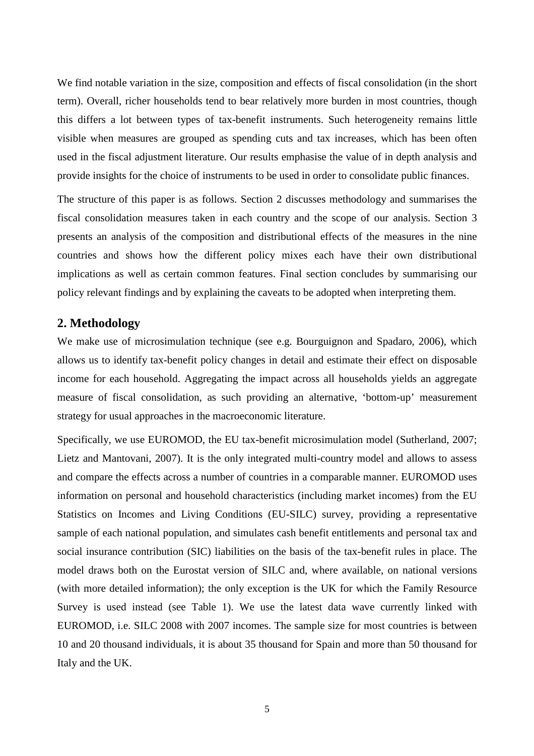We find notable variation in the size, composition and effects of fiscal consolidation (in the short term). Overall, richer households tend to bear relatively more burden in most countries, though this differs a lot between types of tax-benefit instruments. Such heterogeneity remains little visible when measures are grouped as spending cuts and tax increases, which has been often used in the fiscal adjustment literature. Our results emphasise the value of in depth analysis and provide insights for the choice of instruments to be used in order to consolidate public finances.

The structure of this paper is as follows. Section 2 discusses methodology and summarises the fiscal consolidation measures taken in each country and the scope of our analysis. Section 3 presents an analysis of the composition and distributional effects of the measures in the nine countries and shows how the different policy mixes each have their own distributional implications as well as certain common features. Final section concludes by summarising our policy relevant findings and by explaining the caveats to be adopted when interpreting them.

## **2. Methodology**

We make use of microsimulation technique (see e.g. Bourguignon and Spadaro, 2006), which allows us to identify tax-benefit policy changes in detail and estimate their effect on disposable income for each household. Aggregating the impact across all households yields an aggregate measure of fiscal consolidation, as such providing an alternative, 'bottom-up' measurement strategy for usual approaches in the macroeconomic literature.

Specifically, we use EUROMOD, the EU tax-benefit microsimulation model (Sutherland, 2007; Lietz and Mantovani, 2007). It is the only integrated multi-country model and allows to assess and compare the effects across a number of countries in a comparable manner. EUROMOD uses information on personal and household characteristics (including market incomes) from the EU Statistics on Incomes and Living Conditions (EU-SILC) survey, providing a representative sample of each national population, and simulates cash benefit entitlements and personal tax and social insurance contribution (SIC) liabilities on the basis of the tax-benefit rules in place. The model draws both on the Eurostat version of SILC and, where available, on national versions (with more detailed information); the only exception is the UK for which the Family Resource Survey is used instead (see Table 1). We use the latest data wave currently linked with EUROMOD, i.e. SILC 2008 with 2007 incomes. The sample size for most countries is between 10 and 20 thousand individuals, it is about 35 thousand for Spain and more than 50 thousand for Italy and the UK.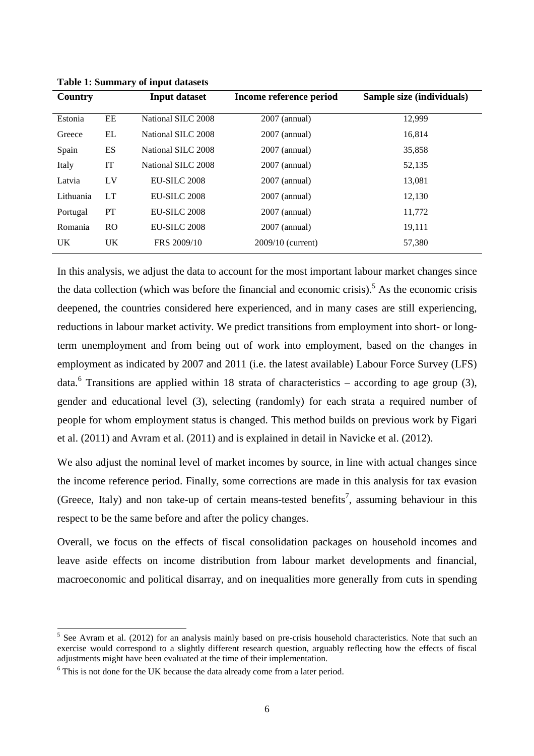| Country   |                | <b>Input dataset</b> | Income reference period | Sample size (individuals) |
|-----------|----------------|----------------------|-------------------------|---------------------------|
| Estonia   | EE             | National SILC 2008   | $2007$ (annual)         | 12,999                    |
| Greece    | EL             | National SILC 2008   | $2007$ (annual)         | 16,814                    |
| Spain     | ES             | National SILC 2008   | $2007$ (annual)         | 35,858                    |
| Italy     | IT             | National SILC 2008   | $2007$ (annual)         | 52,135                    |
| Latvia    | LV             | <b>EU-SILC 2008</b>  | $2007$ (annual)         | 13,081                    |
| Lithuania | LT             | <b>EU-SILC 2008</b>  | $2007$ (annual)         | 12,130                    |
| Portugal  | PT             | EU-SILC 2008         | $2007$ (annual)         | 11,772                    |
| Romania   | R <sub>O</sub> | EU-SILC 2008         | $2007$ (annual)         | 19,111                    |
| UK.       | <b>UK</b>      | FRS 2009/10          | $2009/10$ (current)     | 57,380                    |

**Table 1: Summary of input datasets** 

In this analysis, we adjust the data to account for the most important labour market changes since the data collection (which was before the financial and economic crisis).<sup>5</sup> As the economic crisis deepened, the countries considered here experienced, and in many cases are still experiencing, reductions in labour market activity. We predict transitions from employment into short- or longterm unemployment and from being out of work into employment, based on the changes in employment as indicated by 2007 and 2011 (i.e. the latest available) Labour Force Survey (LFS) data.<sup>6</sup> Transitions are applied within 18 strata of characteristics – according to age group (3), gender and educational level (3), selecting (randomly) for each strata a required number of people for whom employment status is changed. This method builds on previous work by Figari et al. (2011) and Avram et al. (2011) and is explained in detail in Navicke et al. (2012).

We also adjust the nominal level of market incomes by source, in line with actual changes since the income reference period. Finally, some corrections are made in this analysis for tax evasion (Greece, Italy) and non take-up of certain means-tested benefits<sup>7</sup>, assuming behaviour in this respect to be the same before and after the policy changes.

Overall, we focus on the effects of fiscal consolidation packages on household incomes and leave aside effects on income distribution from labour market developments and financial, macroeconomic and political disarray, and on inequalities more generally from cuts in spending

<sup>&</sup>lt;sup>5</sup> See Avram et al. (2012) for an analysis mainly based on pre-crisis household characteristics. Note that such an exercise would correspond to a slightly different research question, arguably reflecting how the effects of fiscal adjustments might have been evaluated at the time of their implementation.

<sup>&</sup>lt;sup>6</sup> This is not done for the UK because the data already come from a later period.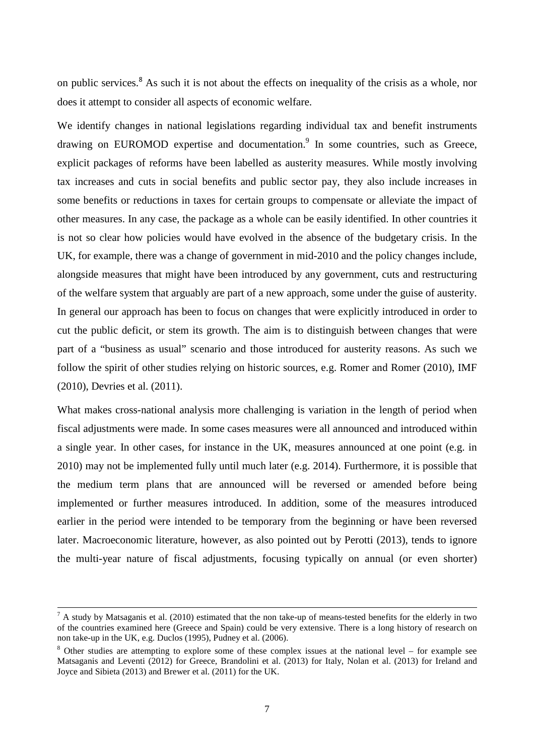on public services.<sup>8</sup> As such it is not about the effects on inequality of the crisis as a whole, nor does it attempt to consider all aspects of economic welfare.

We identify changes in national legislations regarding individual tax and benefit instruments drawing on EUROMOD expertise and documentation.<sup>9</sup> In some countries, such as Greece, explicit packages of reforms have been labelled as austerity measures. While mostly involving tax increases and cuts in social benefits and public sector pay, they also include increases in some benefits or reductions in taxes for certain groups to compensate or alleviate the impact of other measures. In any case, the package as a whole can be easily identified. In other countries it is not so clear how policies would have evolved in the absence of the budgetary crisis. In the UK, for example, there was a change of government in mid-2010 and the policy changes include, alongside measures that might have been introduced by any government, cuts and restructuring of the welfare system that arguably are part of a new approach, some under the guise of austerity. In general our approach has been to focus on changes that were explicitly introduced in order to cut the public deficit, or stem its growth. The aim is to distinguish between changes that were part of a "business as usual" scenario and those introduced for austerity reasons. As such we follow the spirit of other studies relying on historic sources, e.g. Romer and Romer (2010), IMF (2010), Devries et al. (2011).

What makes cross-national analysis more challenging is variation in the length of period when fiscal adjustments were made. In some cases measures were all announced and introduced within a single year. In other cases, for instance in the UK, measures announced at one point (e.g. in 2010) may not be implemented fully until much later (e.g. 2014). Furthermore, it is possible that the medium term plans that are announced will be reversed or amended before being implemented or further measures introduced. In addition, some of the measures introduced earlier in the period were intended to be temporary from the beginning or have been reversed later. Macroeconomic literature, however, as also pointed out by Perotti (2013), tends to ignore the multi-year nature of fiscal adjustments, focusing typically on annual (or even shorter)

 $<sup>7</sup>$  A study by Matsaganis et al. (2010) estimated that the non take-up of means-tested benefits for the elderly in two</sup> of the countries examined here (Greece and Spain) could be very extensive. There is a long history of research on non take-up in the UK, e.g. Duclos (1995), Pudney et al. (2006).

 $8$  Other studies are attempting to explore some of these complex issues at the national level – for example see Matsaganis and Leventi (2012) for Greece, Brandolini et al. (2013) for Italy, Nolan et al. (2013) for Ireland and Joyce and Sibieta (2013) and Brewer et al. (2011) for the UK.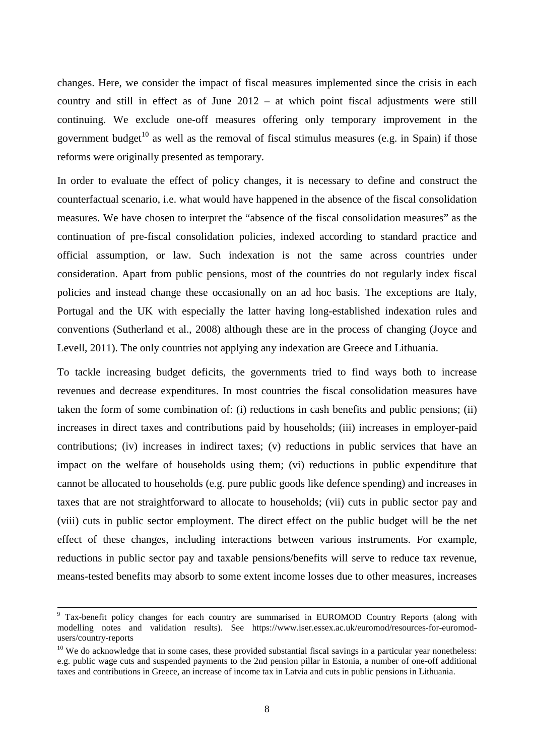changes. Here, we consider the impact of fiscal measures implemented since the crisis in each country and still in effect as of June 2012 – at which point fiscal adjustments were still continuing. We exclude one-off measures offering only temporary improvement in the government budget<sup>10</sup> as well as the removal of fiscal stimulus measures (e.g. in Spain) if those reforms were originally presented as temporary.

In order to evaluate the effect of policy changes, it is necessary to define and construct the counterfactual scenario, i.e. what would have happened in the absence of the fiscal consolidation measures. We have chosen to interpret the "absence of the fiscal consolidation measures" as the continuation of pre-fiscal consolidation policies, indexed according to standard practice and official assumption, or law. Such indexation is not the same across countries under consideration. Apart from public pensions, most of the countries do not regularly index fiscal policies and instead change these occasionally on an ad hoc basis. The exceptions are Italy, Portugal and the UK with especially the latter having long-established indexation rules and conventions (Sutherland et al., 2008) although these are in the process of changing (Joyce and Levell, 2011). The only countries not applying any indexation are Greece and Lithuania.

To tackle increasing budget deficits, the governments tried to find ways both to increase revenues and decrease expenditures. In most countries the fiscal consolidation measures have taken the form of some combination of: (i) reductions in cash benefits and public pensions; (ii) increases in direct taxes and contributions paid by households; (iii) increases in employer-paid contributions; (iv) increases in indirect taxes; (v) reductions in public services that have an impact on the welfare of households using them; (vi) reductions in public expenditure that cannot be allocated to households (e.g. pure public goods like defence spending) and increases in taxes that are not straightforward to allocate to households; (vii) cuts in public sector pay and (viii) cuts in public sector employment. The direct effect on the public budget will be the net effect of these changes, including interactions between various instruments. For example, reductions in public sector pay and taxable pensions/benefits will serve to reduce tax revenue, means-tested benefits may absorb to some extent income losses due to other measures, increases

<sup>&</sup>lt;sup>9</sup> Tax-benefit policy changes for each country are summarised in EUROMOD Country Reports (along with modelling notes and validation results). See https://www.iser.essex.ac.uk/euromod/resources-for-euromodusers/country-reports

 $10$  We do acknowledge that in some cases, these provided substantial fiscal savings in a particular year nonetheless: e.g. public wage cuts and suspended payments to the 2nd pension pillar in Estonia, a number of one-off additional taxes and contributions in Greece, an increase of income tax in Latvia and cuts in public pensions in Lithuania.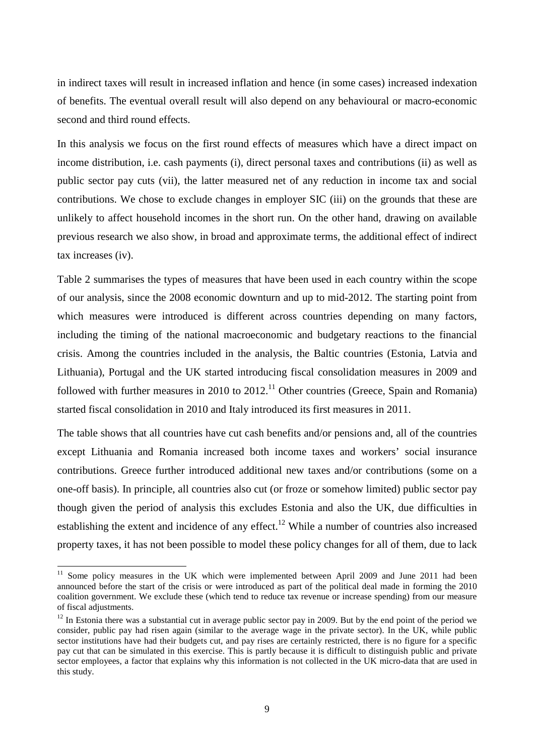in indirect taxes will result in increased inflation and hence (in some cases) increased indexation of benefits. The eventual overall result will also depend on any behavioural or macro-economic second and third round effects.

In this analysis we focus on the first round effects of measures which have a direct impact on income distribution, i.e. cash payments (i), direct personal taxes and contributions (ii) as well as public sector pay cuts (vii), the latter measured net of any reduction in income tax and social contributions. We chose to exclude changes in employer SIC (iii) on the grounds that these are unlikely to affect household incomes in the short run. On the other hand, drawing on available previous research we also show, in broad and approximate terms, the additional effect of indirect tax increases (iv).

Table 2 summarises the types of measures that have been used in each country within the scope of our analysis, since the 2008 economic downturn and up to mid-2012. The starting point from which measures were introduced is different across countries depending on many factors, including the timing of the national macroeconomic and budgetary reactions to the financial crisis. Among the countries included in the analysis, the Baltic countries (Estonia, Latvia and Lithuania), Portugal and the UK started introducing fiscal consolidation measures in 2009 and followed with further measures in 2010 to  $2012$ <sup>11</sup> Other countries (Greece, Spain and Romania) started fiscal consolidation in 2010 and Italy introduced its first measures in 2011.

The table shows that all countries have cut cash benefits and/or pensions and, all of the countries except Lithuania and Romania increased both income taxes and workers' social insurance contributions. Greece further introduced additional new taxes and/or contributions (some on a one-off basis). In principle, all countries also cut (or froze or somehow limited) public sector pay though given the period of analysis this excludes Estonia and also the UK, due difficulties in establishing the extent and incidence of any effect.<sup>12</sup> While a number of countries also increased property taxes, it has not been possible to model these policy changes for all of them, due to lack

<sup>&</sup>lt;sup>11</sup> Some policy measures in the UK which were implemented between April 2009 and June 2011 had been announced before the start of the crisis or were introduced as part of the political deal made in forming the 2010 coalition government. We exclude these (which tend to reduce tax revenue or increase spending) from our measure of fiscal adjustments.

 $12$  In Estonia there was a substantial cut in average public sector pay in 2009. But by the end point of the period we consider, public pay had risen again (similar to the average wage in the private sector). In the UK, while public sector institutions have had their budgets cut, and pay rises are certainly restricted, there is no figure for a specific pay cut that can be simulated in this exercise. This is partly because it is difficult to distinguish public and private sector employees, a factor that explains why this information is not collected in the UK micro-data that are used in this study.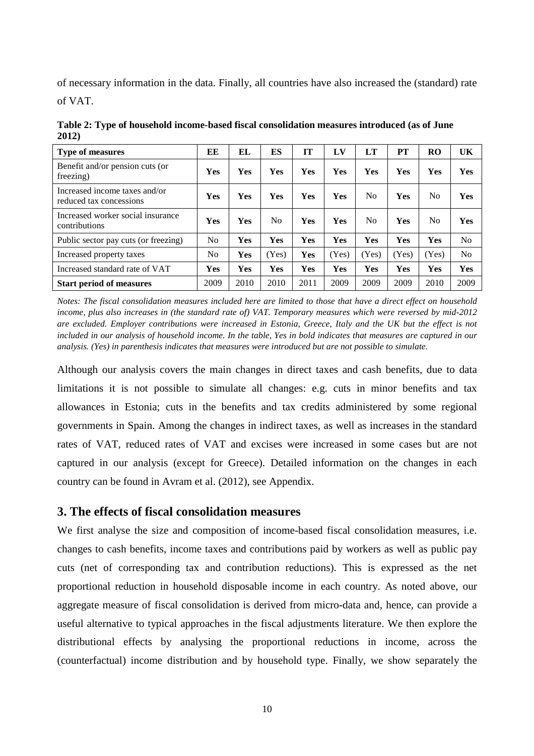of necessary information in the data. Finally, all countries have also increased the (standard) rate

of VAT.

| Table 2: Type of household income-based fiscal consolidation measures introduced (as of June |  |
|----------------------------------------------------------------------------------------------|--|
| 2012)                                                                                        |  |

| <b>Type of measures</b>                                  | EЕ             | EL         | ES             | IТ   | LV    | LT             | PT    | RO             | UK             |
|----------------------------------------------------------|----------------|------------|----------------|------|-------|----------------|-------|----------------|----------------|
| Benefit and/or pension cuts (or<br>freezing)             | <b>Yes</b>     | Yes        | <b>Yes</b>     | Yes  | Yes   | Yes            | Yes   | Yes            | <b>Yes</b>     |
| Increased income taxes and/or<br>reduced tax concessions | Yes            | <b>Yes</b> | Yes            | Yes  | Yes   | No.            | Yes   | No             | Yes            |
| Increased worker social insurance<br>contributions       | <b>Yes</b>     | <b>Yes</b> | N <sub>0</sub> | Yes  | Yes   | N <sub>0</sub> | Yes   | N <sub>0</sub> | Yes            |
| Public sector pay cuts (or freezing)                     | N <sub>0</sub> | <b>Yes</b> | Yes            | Yes  | Yes   | Yes            | Yes   | Yes            | N <sub>0</sub> |
| Increased property taxes                                 | No             | Yes        | (Yes)          | Yes  | (Yes) | (Yes)          | (Yes) | (Yes)          | N <sub>o</sub> |
| Increased standard rate of VAT                           | Yes            | <b>Yes</b> | Yes            | Yes  | Yes   | Yes            | Yes   | Yes            | Yes            |
| <b>Start period of measures</b>                          | 2009           | 2010       | 2010           | 2011 | 2009  | 2009           | 2009  | 2010           | 2009           |

*Notes: The fiscal consolidation measures included here are limited to those that have a direct effect on household income, plus also increases in (the standard rate of) VAT. Temporary measures which were reversed by mid-2012 are excluded. Employer contributions were increased in Estonia, Greece, Italy and the UK but the effect is not*  included in our analysis of household income. In the table, Yes in bold indicates that measures are captured in our *analysis. (Yes) in parenthesis indicates that measures were introduced but are not possible to simulate.* 

Although our analysis covers the main changes in direct taxes and cash benefits, due to data limitations it is not possible to simulate all changes: e.g. cuts in minor benefits and tax allowances in Estonia; cuts in the benefits and tax credits administered by some regional governments in Spain. Among the changes in indirect taxes, as well as increases in the standard rates of VAT, reduced rates of VAT and excises were increased in some cases but are not captured in our analysis (except for Greece). Detailed information on the changes in each country can be found in Avram et al. (2012), see Appendix.

# **3. The effects of fiscal consolidation measures**

We first analyse the size and composition of income-based fiscal consolidation measures, i.e. changes to cash benefits, income taxes and contributions paid by workers as well as public pay cuts (net of corresponding tax and contribution reductions). This is expressed as the net proportional reduction in household disposable income in each country. As noted above, our aggregate measure of fiscal consolidation is derived from micro-data and, hence, can provide a useful alternative to typical approaches in the fiscal adjustments literature. We then explore the distributional effects by analysing the proportional reductions in income, across the (counterfactual) income distribution and by household type. Finally, we show separately the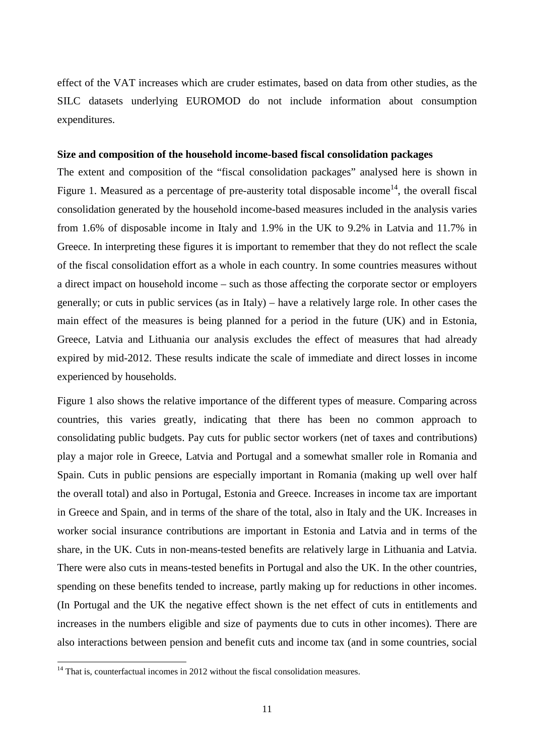effect of the VAT increases which are cruder estimates, based on data from other studies, as the SILC datasets underlying EUROMOD do not include information about consumption expenditures.

## **Size and composition of the household income-based fiscal consolidation packages**

The extent and composition of the "fiscal consolidation packages" analysed here is shown in Figure 1. Measured as a percentage of pre-austerity total disposable income<sup>14</sup>, the overall fiscal consolidation generated by the household income-based measures included in the analysis varies from 1.6% of disposable income in Italy and 1.9% in the UK to 9.2% in Latvia and 11.7% in Greece. In interpreting these figures it is important to remember that they do not reflect the scale of the fiscal consolidation effort as a whole in each country. In some countries measures without a direct impact on household income – such as those affecting the corporate sector or employers generally; or cuts in public services (as in Italy) – have a relatively large role. In other cases the main effect of the measures is being planned for a period in the future (UK) and in Estonia, Greece, Latvia and Lithuania our analysis excludes the effect of measures that had already expired by mid-2012. These results indicate the scale of immediate and direct losses in income experienced by households.

Figure 1 also shows the relative importance of the different types of measure. Comparing across countries, this varies greatly, indicating that there has been no common approach to consolidating public budgets. Pay cuts for public sector workers (net of taxes and contributions) play a major role in Greece, Latvia and Portugal and a somewhat smaller role in Romania and Spain. Cuts in public pensions are especially important in Romania (making up well over half the overall total) and also in Portugal, Estonia and Greece. Increases in income tax are important in Greece and Spain, and in terms of the share of the total, also in Italy and the UK. Increases in worker social insurance contributions are important in Estonia and Latvia and in terms of the share, in the UK. Cuts in non-means-tested benefits are relatively large in Lithuania and Latvia. There were also cuts in means-tested benefits in Portugal and also the UK. In the other countries, spending on these benefits tended to increase, partly making up for reductions in other incomes. (In Portugal and the UK the negative effect shown is the net effect of cuts in entitlements and increases in the numbers eligible and size of payments due to cuts in other incomes). There are also interactions between pension and benefit cuts and income tax (and in some countries, social

 $14$  That is, counterfactual incomes in 2012 without the fiscal consolidation measures.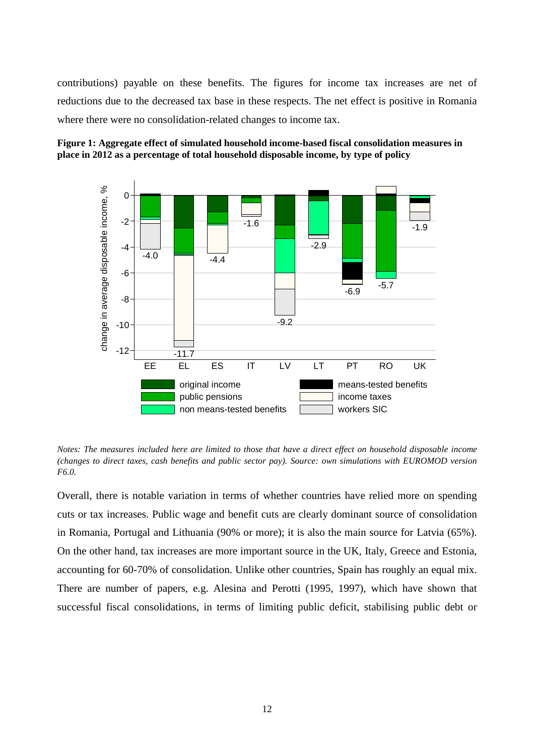contributions) payable on these benefits. The figures for income tax increases are net of reductions due to the decreased tax base in these respects. The net effect is positive in Romania where there were no consolidation-related changes to income tax.



**Figure 1: Aggregate effect of simulated household income-based fiscal consolidation measures in place in 2012 as a percentage of total household disposable income, by type of policy** 

*Notes: The measures included here are limited to those that have a direct effect on household disposable income (changes to direct taxes, cash benefits and public sector pay). Source: own simulations with EUROMOD version F6.0.* 

Overall, there is notable variation in terms of whether countries have relied more on spending cuts or tax increases. Public wage and benefit cuts are clearly dominant source of consolidation in Romania, Portugal and Lithuania (90% or more); it is also the main source for Latvia (65%). On the other hand, tax increases are more important source in the UK, Italy, Greece and Estonia, accounting for 60-70% of consolidation. Unlike other countries, Spain has roughly an equal mix. There are number of papers, e.g. Alesina and Perotti (1995, 1997), which have shown that successful fiscal consolidations, in terms of limiting public deficit, stabilising public debt or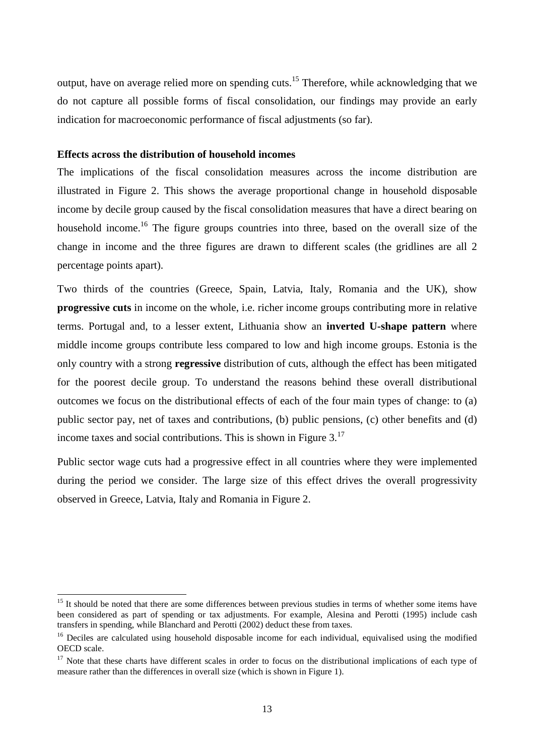output, have on average relied more on spending cuts.<sup>15</sup> Therefore, while acknowledging that we do not capture all possible forms of fiscal consolidation, our findings may provide an early indication for macroeconomic performance of fiscal adjustments (so far).

#### **Effects across the distribution of household incomes**

 $\overline{a}$ 

The implications of the fiscal consolidation measures across the income distribution are illustrated in Figure 2. This shows the average proportional change in household disposable income by decile group caused by the fiscal consolidation measures that have a direct bearing on household income.<sup>16</sup> The figure groups countries into three, based on the overall size of the change in income and the three figures are drawn to different scales (the gridlines are all 2 percentage points apart).

Two thirds of the countries (Greece, Spain, Latvia, Italy, Romania and the UK), show **progressive cuts** in income on the whole, i.e. richer income groups contributing more in relative terms. Portugal and, to a lesser extent, Lithuania show an **inverted U-shape pattern** where middle income groups contribute less compared to low and high income groups. Estonia is the only country with a strong **regressive** distribution of cuts, although the effect has been mitigated for the poorest decile group. To understand the reasons behind these overall distributional outcomes we focus on the distributional effects of each of the four main types of change: to (a) public sector pay, net of taxes and contributions, (b) public pensions, (c) other benefits and (d) income taxes and social contributions. This is shown in Figure 3.<sup>17</sup>

Public sector wage cuts had a progressive effect in all countries where they were implemented during the period we consider. The large size of this effect drives the overall progressivity observed in Greece, Latvia, Italy and Romania in Figure 2.

<sup>&</sup>lt;sup>15</sup> It should be noted that there are some differences between previous studies in terms of whether some items have been considered as part of spending or tax adjustments. For example, Alesina and Perotti (1995) include cash transfers in spending, while Blanchard and Perotti (2002) deduct these from taxes.

<sup>&</sup>lt;sup>16</sup> Deciles are calculated using household disposable income for each individual, equivalised using the modified OECD scale.

 $17$  Note that these charts have different scales in order to focus on the distributional implications of each type of measure rather than the differences in overall size (which is shown in Figure 1).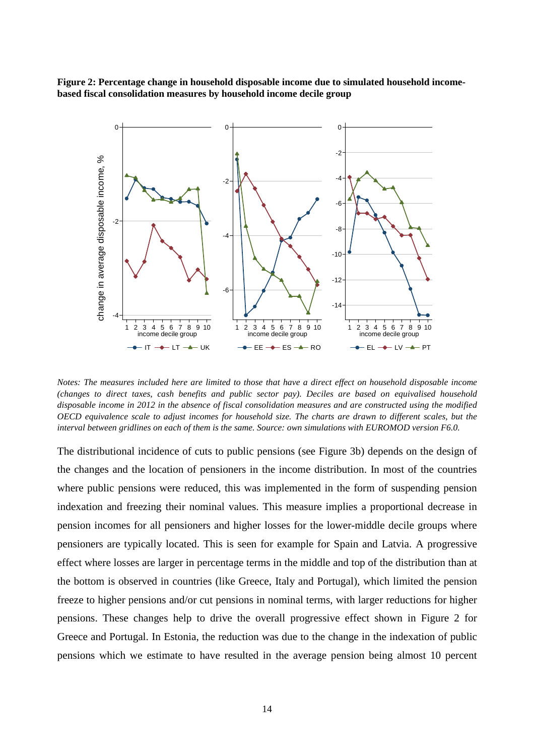**Figure 2: Percentage change in household disposable income due to simulated household incomebased fiscal consolidation measures by household income decile group** 



*Notes: The measures included here are limited to those that have a direct effect on household disposable income (changes to direct taxes, cash benefits and public sector pay). Deciles are based on equivalised household disposable income in 2012 in the absence of fiscal consolidation measures and are constructed using the modified OECD equivalence scale to adjust incomes for household size. The charts are drawn to different scales, but the interval between gridlines on each of them is the same. Source: own simulations with EUROMOD version F6.0.* 

The distributional incidence of cuts to public pensions (see Figure 3b) depends on the design of the changes and the location of pensioners in the income distribution. In most of the countries where public pensions were reduced, this was implemented in the form of suspending pension indexation and freezing their nominal values. This measure implies a proportional decrease in pension incomes for all pensioners and higher losses for the lower-middle decile groups where pensioners are typically located. This is seen for example for Spain and Latvia. A progressive effect where losses are larger in percentage terms in the middle and top of the distribution than at the bottom is observed in countries (like Greece, Italy and Portugal), which limited the pension freeze to higher pensions and/or cut pensions in nominal terms, with larger reductions for higher pensions. These changes help to drive the overall progressive effect shown in Figure 2 for Greece and Portugal. In Estonia, the reduction was due to the change in the indexation of public pensions which we estimate to have resulted in the average pension being almost 10 percent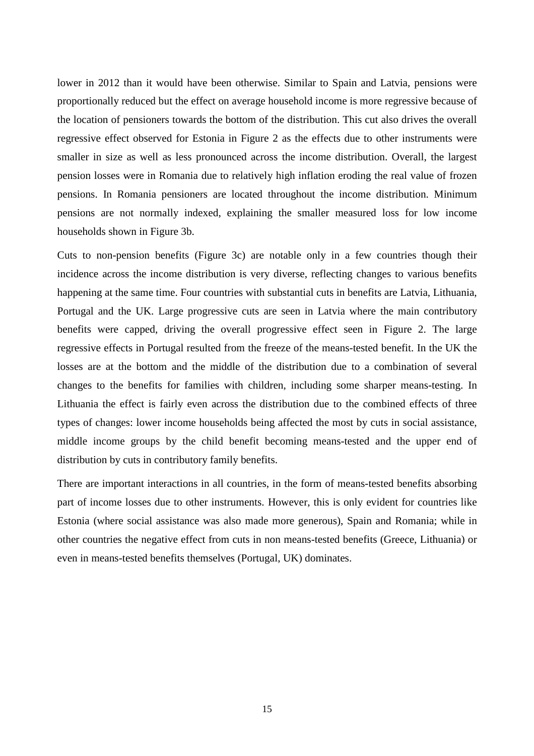lower in 2012 than it would have been otherwise. Similar to Spain and Latvia, pensions were proportionally reduced but the effect on average household income is more regressive because of the location of pensioners towards the bottom of the distribution. This cut also drives the overall regressive effect observed for Estonia in Figure 2 as the effects due to other instruments were smaller in size as well as less pronounced across the income distribution. Overall, the largest pension losses were in Romania due to relatively high inflation eroding the real value of frozen pensions. In Romania pensioners are located throughout the income distribution. Minimum pensions are not normally indexed, explaining the smaller measured loss for low income households shown in Figure 3b.

Cuts to non-pension benefits (Figure 3c) are notable only in a few countries though their incidence across the income distribution is very diverse, reflecting changes to various benefits happening at the same time. Four countries with substantial cuts in benefits are Latvia, Lithuania, Portugal and the UK. Large progressive cuts are seen in Latvia where the main contributory benefits were capped, driving the overall progressive effect seen in Figure 2. The large regressive effects in Portugal resulted from the freeze of the means-tested benefit. In the UK the losses are at the bottom and the middle of the distribution due to a combination of several changes to the benefits for families with children, including some sharper means-testing. In Lithuania the effect is fairly even across the distribution due to the combined effects of three types of changes: lower income households being affected the most by cuts in social assistance, middle income groups by the child benefit becoming means-tested and the upper end of distribution by cuts in contributory family benefits.

There are important interactions in all countries, in the form of means-tested benefits absorbing part of income losses due to other instruments. However, this is only evident for countries like Estonia (where social assistance was also made more generous), Spain and Romania; while in other countries the negative effect from cuts in non means-tested benefits (Greece, Lithuania) or even in means-tested benefits themselves (Portugal, UK) dominates.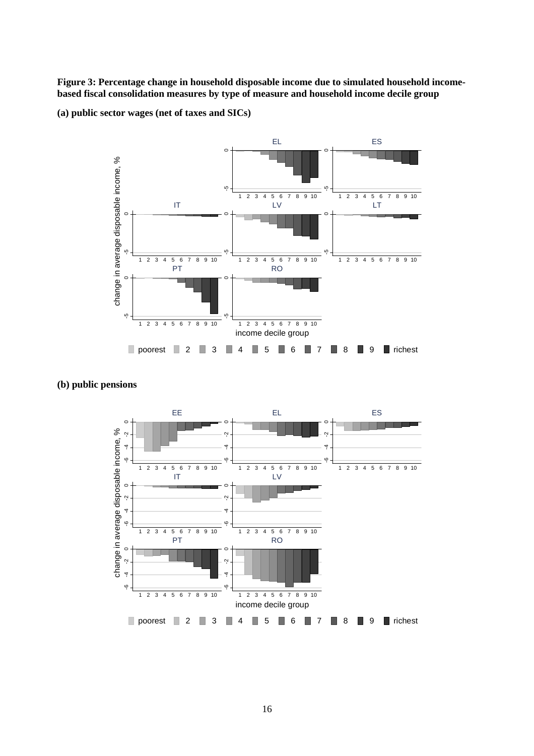**Figure 3: Percentage change in household disposable income due to simulated household incomebased fiscal consolidation measures by type of measure and household income decile group** 

**(a) public sector wages (net of taxes and SICs)** 



#### **(b) public pensions**

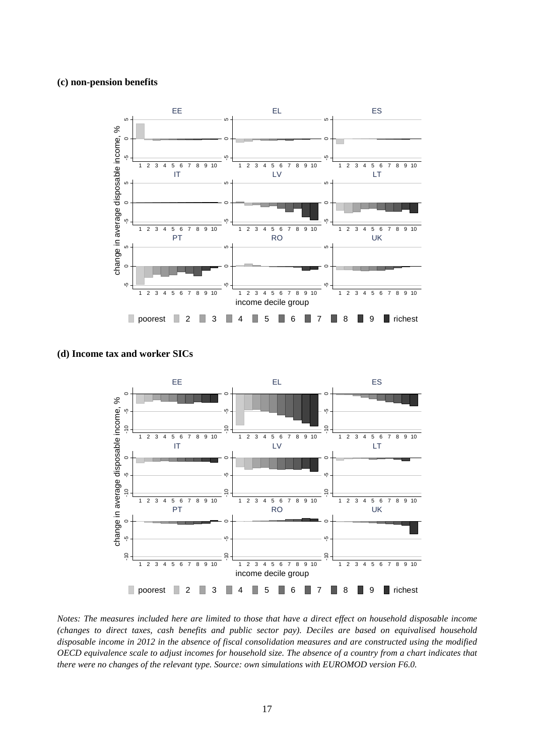#### **(c) non-pension benefits**



**(d) Income tax and worker SICs** 



*Notes: The measures included here are limited to those that have a direct effect on household disposable income (changes to direct taxes, cash benefits and public sector pay). Deciles are based on equivalised household disposable income in 2012 in the absence of fiscal consolidation measures and are constructed using the modified OECD equivalence scale to adjust incomes for household size. The absence of a country from a chart indicates that there were no changes of the relevant type. Source: own simulations with EUROMOD version F6.0.*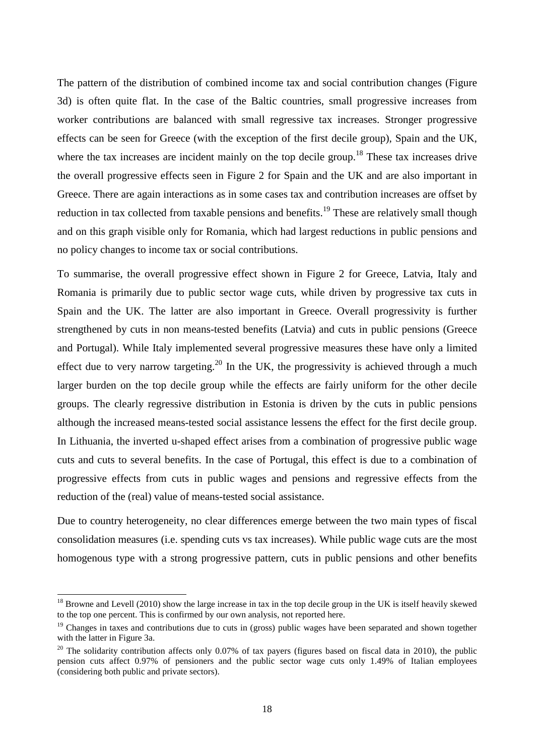The pattern of the distribution of combined income tax and social contribution changes (Figure 3d) is often quite flat. In the case of the Baltic countries, small progressive increases from worker contributions are balanced with small regressive tax increases. Stronger progressive effects can be seen for Greece (with the exception of the first decile group), Spain and the UK, where the tax increases are incident mainly on the top decile group.<sup>18</sup> These tax increases drive the overall progressive effects seen in Figure 2 for Spain and the UK and are also important in Greece. There are again interactions as in some cases tax and contribution increases are offset by reduction in tax collected from taxable pensions and benefits.<sup>19</sup> These are relatively small though and on this graph visible only for Romania, which had largest reductions in public pensions and no policy changes to income tax or social contributions.

To summarise, the overall progressive effect shown in Figure 2 for Greece, Latvia, Italy and Romania is primarily due to public sector wage cuts, while driven by progressive tax cuts in Spain and the UK. The latter are also important in Greece. Overall progressivity is further strengthened by cuts in non means-tested benefits (Latvia) and cuts in public pensions (Greece and Portugal). While Italy implemented several progressive measures these have only a limited effect due to very narrow targeting.<sup>20</sup> In the UK, the progressivity is achieved through a much larger burden on the top decile group while the effects are fairly uniform for the other decile groups. The clearly regressive distribution in Estonia is driven by the cuts in public pensions although the increased means-tested social assistance lessens the effect for the first decile group. In Lithuania, the inverted u-shaped effect arises from a combination of progressive public wage cuts and cuts to several benefits. In the case of Portugal, this effect is due to a combination of progressive effects from cuts in public wages and pensions and regressive effects from the reduction of the (real) value of means-tested social assistance.

Due to country heterogeneity, no clear differences emerge between the two main types of fiscal consolidation measures (i.e. spending cuts vs tax increases). While public wage cuts are the most homogenous type with a strong progressive pattern, cuts in public pensions and other benefits

 $18$  Browne and Levell (2010) show the large increase in tax in the top decile group in the UK is itself heavily skewed to the top one percent. This is confirmed by our own analysis, not reported here.

<sup>&</sup>lt;sup>19</sup> Changes in taxes and contributions due to cuts in (gross) public wages have been separated and shown together with the latter in Figure 3a.

<sup>&</sup>lt;sup>20</sup> The solidarity contribution affects only 0.07% of tax payers (figures based on fiscal data in 2010), the public pension cuts affect 0.97% of pensioners and the public sector wage cuts only 1.49% of Italian employees (considering both public and private sectors).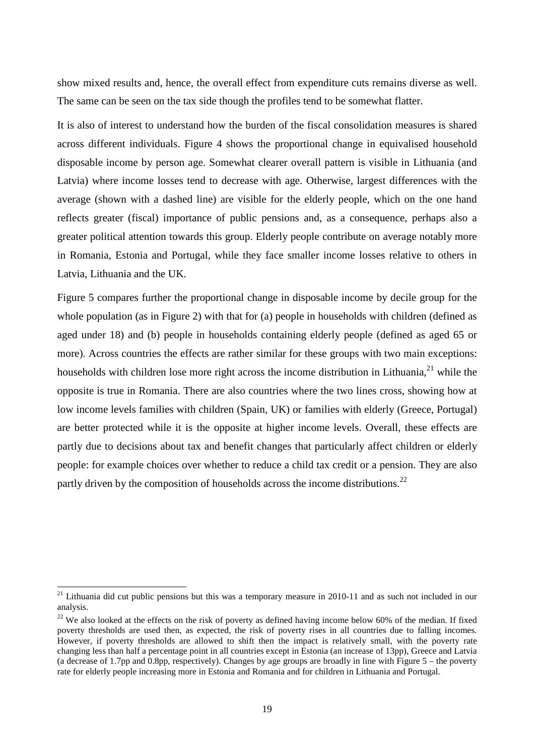show mixed results and, hence, the overall effect from expenditure cuts remains diverse as well. The same can be seen on the tax side though the profiles tend to be somewhat flatter.

It is also of interest to understand how the burden of the fiscal consolidation measures is shared across different individuals. Figure 4 shows the proportional change in equivalised household disposable income by person age. Somewhat clearer overall pattern is visible in Lithuania (and Latvia) where income losses tend to decrease with age. Otherwise, largest differences with the average (shown with a dashed line) are visible for the elderly people, which on the one hand reflects greater (fiscal) importance of public pensions and, as a consequence, perhaps also a greater political attention towards this group. Elderly people contribute on average notably more in Romania, Estonia and Portugal, while they face smaller income losses relative to others in Latvia, Lithuania and the UK.

Figure 5 compares further the proportional change in disposable income by decile group for the whole population (as in Figure 2) with that for (a) people in households with children (defined as aged under 18) and (b) people in households containing elderly people (defined as aged 65 or more). Across countries the effects are rather similar for these groups with two main exceptions: households with children lose more right across the income distribution in Lithuania,  $^{21}$  while the opposite is true in Romania. There are also countries where the two lines cross, showing how at low income levels families with children (Spain, UK) or families with elderly (Greece, Portugal) are better protected while it is the opposite at higher income levels. Overall, these effects are partly due to decisions about tax and benefit changes that particularly affect children or elderly people: for example choices over whether to reduce a child tax credit or a pension. They are also partly driven by the composition of households across the income distributions.<sup>22</sup>

 $21$  Lithuania did cut public pensions but this was a temporary measure in 2010-11 and as such not included in our analysis.

 $22$  We also looked at the effects on the risk of poverty as defined having income below 60% of the median. If fixed poverty thresholds are used then, as expected, the risk of poverty rises in all countries due to falling incomes. However, if poverty thresholds are allowed to shift then the impact is relatively small, with the poverty rate changing less than half a percentage point in all countries except in Estonia (an increase of 13pp), Greece and Latvia (a decrease of 1.7pp and 0.8pp, respectively). Changes by age groups are broadly in line with Figure 5 – the poverty rate for elderly people increasing more in Estonia and Romania and for children in Lithuania and Portugal.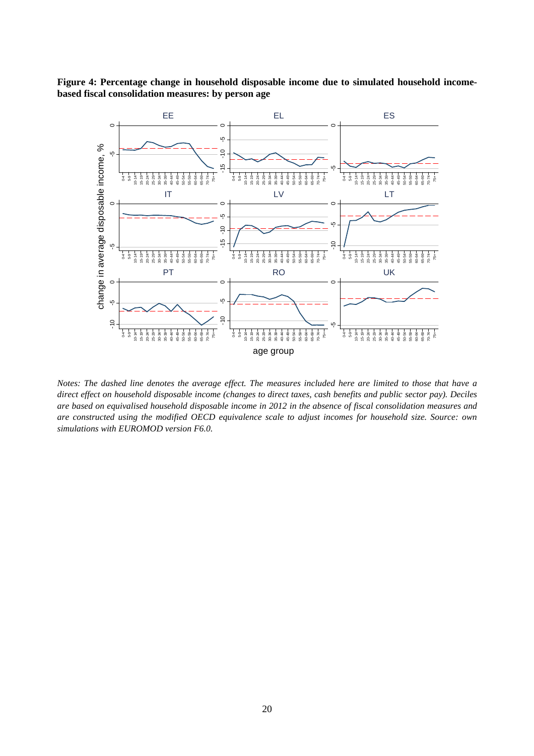



*Notes: The dashed line denotes the average effect. The measures included here are limited to those that have a direct effect on household disposable income (changes to direct taxes, cash benefits and public sector pay). Deciles are based on equivalised household disposable income in 2012 in the absence of fiscal consolidation measures and are constructed using the modified OECD equivalence scale to adjust incomes for household size. Source: own simulations with EUROMOD version F6.0.*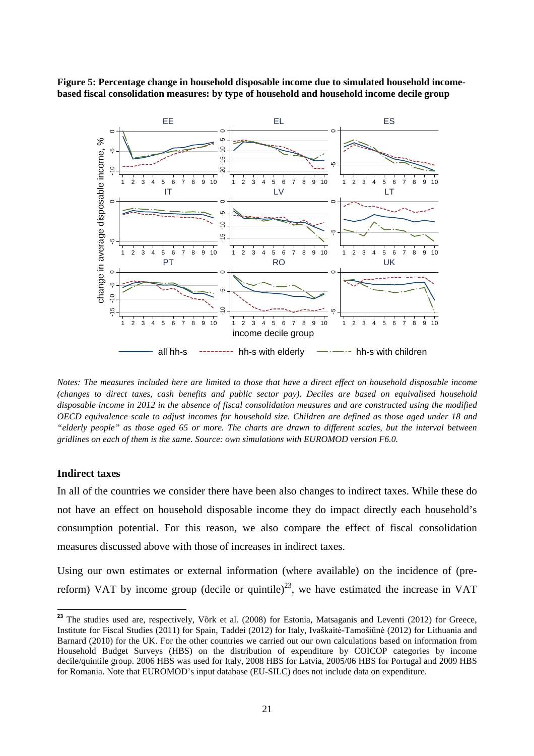**Figure 5: Percentage change in household disposable income due to simulated household incomebased fiscal consolidation measures: by type of household and household income decile group** 



*Notes: The measures included here are limited to those that have a direct effect on household disposable income (changes to direct taxes, cash benefits and public sector pay). Deciles are based on equivalised household disposable income in 2012 in the absence of fiscal consolidation measures and are constructed using the modified OECD equivalence scale to adjust incomes for household size. Children are defined as those aged under 18 and "elderly people" as those aged 65 or more. The charts are drawn to different scales, but the interval between gridlines on each of them is the same. Source: own simulations with EUROMOD version F6.0.* 

#### **Indirect taxes**

 $\overline{a}$ 

In all of the countries we consider there have been also changes to indirect taxes. While these do not have an effect on household disposable income they do impact directly each household's consumption potential. For this reason, we also compare the effect of fiscal consolidation measures discussed above with those of increases in indirect taxes.

Using our own estimates or external information (where available) on the incidence of (prereform) VAT by income group (decile or quintile)<sup>23</sup>, we have estimated the increase in VAT

<sup>&</sup>lt;sup>23</sup> The studies used are, respectively, Võrk et al. (2008) for Estonia, Matsaganis and Leventi (2012) for Greece, Institute for Fiscal Studies (2011) for Spain, Taddei (2012) for Italy, Ivaškaitė-Tamošiūnė (2012) for Lithuania and Barnard (2010) for the UK. For the other countries we carried out our own calculations based on information from Household Budget Surveys (HBS) on the distribution of expenditure by COICOP categories by income decile/quintile group. 2006 HBS was used for Italy, 2008 HBS for Latvia, 2005/06 HBS for Portugal and 2009 HBS for Romania. Note that EUROMOD's input database (EU-SILC) does not include data on expenditure.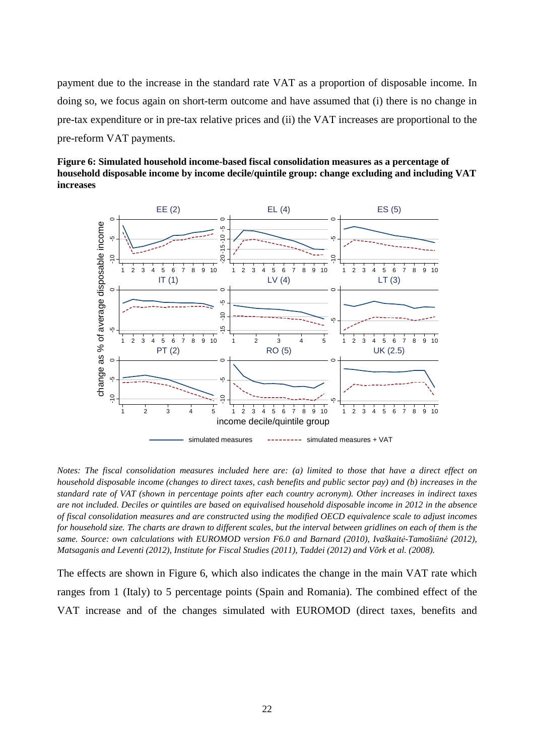payment due to the increase in the standard rate VAT as a proportion of disposable income. In doing so, we focus again on short-term outcome and have assumed that (i) there is no change in pre-tax expenditure or in pre-tax relative prices and (ii) the VAT increases are proportional to the pre-reform VAT payments.

**Figure 6: Simulated household income-based fiscal consolidation measures as a percentage of household disposable income by income decile/quintile group: change excluding and including VAT increases** 



*Notes: The fiscal consolidation measures included here are: (a) limited to those that have a direct effect on household disposable income (changes to direct taxes, cash benefits and public sector pay) and (b) increases in the standard rate of VAT (shown in percentage points after each country acronym). Other increases in indirect taxes are not included. Deciles or quintiles are based on equivalised household disposable income in 2012 in the absence of fiscal consolidation measures and are constructed using the modified OECD equivalence scale to adjust incomes for household size. The charts are drawn to different scales, but the interval between gridlines on each of them is the same. Source: own calculations with EUROMOD version F6.0 and Barnard (2010), Ivaškaitė-Tamošiūnė (2012), Matsaganis and Leventi (2012), Institute for Fiscal Studies (2011), Taddei (2012) and Võrk et al. (2008).* 

The effects are shown in Figure 6, which also indicates the change in the main VAT rate which ranges from 1 (Italy) to 5 percentage points (Spain and Romania). The combined effect of the VAT increase and of the changes simulated with EUROMOD (direct taxes, benefits and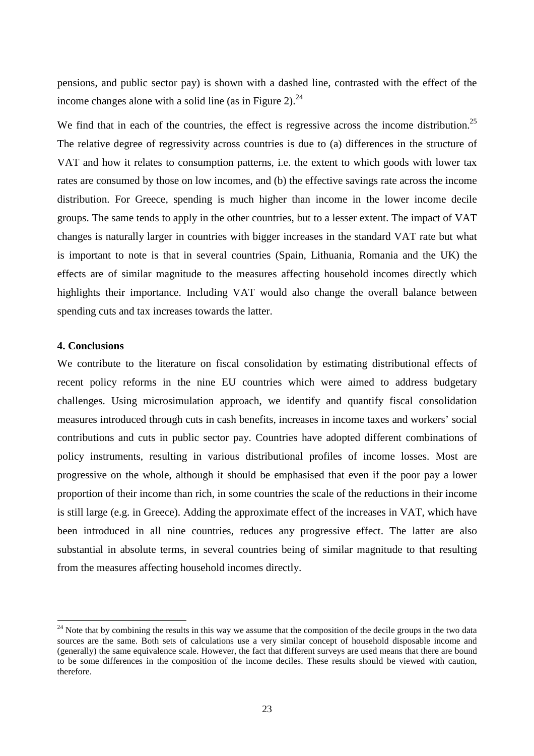pensions, and public sector pay) is shown with a dashed line, contrasted with the effect of the income changes alone with a solid line (as in Figure 2). $^{24}$ 

We find that in each of the countries, the effect is regressive across the income distribution.<sup>25</sup> The relative degree of regressivity across countries is due to (a) differences in the structure of VAT and how it relates to consumption patterns, i.e. the extent to which goods with lower tax rates are consumed by those on low incomes, and (b) the effective savings rate across the income distribution. For Greece, spending is much higher than income in the lower income decile groups. The same tends to apply in the other countries, but to a lesser extent. The impact of VAT changes is naturally larger in countries with bigger increases in the standard VAT rate but what is important to note is that in several countries (Spain, Lithuania, Romania and the UK) the effects are of similar magnitude to the measures affecting household incomes directly which highlights their importance. Including VAT would also change the overall balance between spending cuts and tax increases towards the latter.

#### **4. Conclusions**

l

We contribute to the literature on fiscal consolidation by estimating distributional effects of recent policy reforms in the nine EU countries which were aimed to address budgetary challenges. Using microsimulation approach, we identify and quantify fiscal consolidation measures introduced through cuts in cash benefits, increases in income taxes and workers' social contributions and cuts in public sector pay. Countries have adopted different combinations of policy instruments, resulting in various distributional profiles of income losses. Most are progressive on the whole, although it should be emphasised that even if the poor pay a lower proportion of their income than rich, in some countries the scale of the reductions in their income is still large (e.g. in Greece). Adding the approximate effect of the increases in VAT, which have been introduced in all nine countries, reduces any progressive effect. The latter are also substantial in absolute terms, in several countries being of similar magnitude to that resulting from the measures affecting household incomes directly.

 $24$  Note that by combining the results in this way we assume that the composition of the decile groups in the two data sources are the same. Both sets of calculations use a very similar concept of household disposable income and (generally) the same equivalence scale. However, the fact that different surveys are used means that there are bound to be some differences in the composition of the income deciles. These results should be viewed with caution, therefore.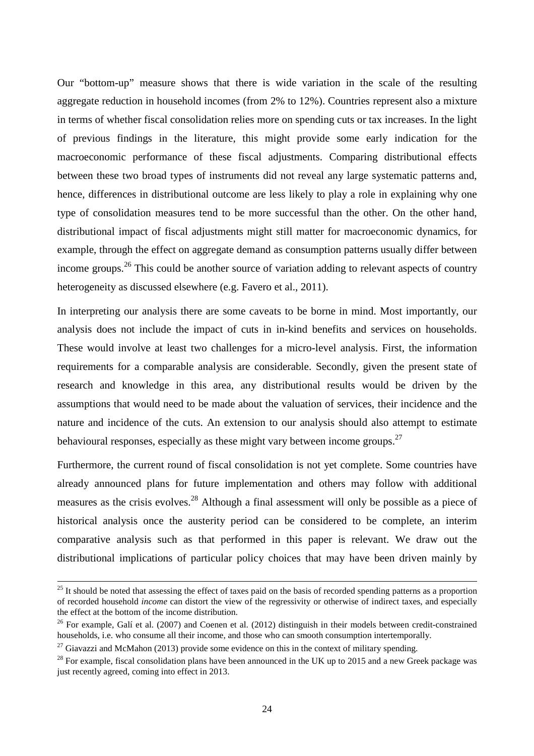Our "bottom-up" measure shows that there is wide variation in the scale of the resulting aggregate reduction in household incomes (from 2% to 12%). Countries represent also a mixture in terms of whether fiscal consolidation relies more on spending cuts or tax increases. In the light of previous findings in the literature, this might provide some early indication for the macroeconomic performance of these fiscal adjustments. Comparing distributional effects between these two broad types of instruments did not reveal any large systematic patterns and, hence, differences in distributional outcome are less likely to play a role in explaining why one type of consolidation measures tend to be more successful than the other. On the other hand, distributional impact of fiscal adjustments might still matter for macroeconomic dynamics, for example, through the effect on aggregate demand as consumption patterns usually differ between income groups.<sup>26</sup> This could be another source of variation adding to relevant aspects of country heterogeneity as discussed elsewhere (e.g. Favero et al., 2011).

In interpreting our analysis there are some caveats to be borne in mind. Most importantly, our analysis does not include the impact of cuts in in-kind benefits and services on households. These would involve at least two challenges for a micro-level analysis. First, the information requirements for a comparable analysis are considerable. Secondly, given the present state of research and knowledge in this area, any distributional results would be driven by the assumptions that would need to be made about the valuation of services, their incidence and the nature and incidence of the cuts. An extension to our analysis should also attempt to estimate behavioural responses, especially as these might vary between income groups.<sup>27</sup>

Furthermore, the current round of fiscal consolidation is not yet complete. Some countries have already announced plans for future implementation and others may follow with additional measures as the crisis evolves.<sup>28</sup> Although a final assessment will only be possible as a piece of historical analysis once the austerity period can be considered to be complete, an interim comparative analysis such as that performed in this paper is relevant. We draw out the distributional implications of particular policy choices that may have been driven mainly by

<sup>&</sup>lt;sup>25</sup> It should be noted that assessing the effect of taxes paid on the basis of recorded spending patterns as a proportion of recorded household *income* can distort the view of the regressivity or otherwise of indirect taxes, and especially the effect at the bottom of the income distribution.

<sup>&</sup>lt;sup>26</sup> For example, Galí et al. (2007) and Coenen et al. (2012) distinguish in their models between credit-constrained households, i.e. who consume all their income, and those who can smooth consumption intertemporally.

 $27$  Giavazzi and McMahon (2013) provide some evidence on this in the context of military spending.

 $^{28}$  For example, fiscal consolidation plans have been announced in the UK up to 2015 and a new Greek package was just recently agreed, coming into effect in 2013.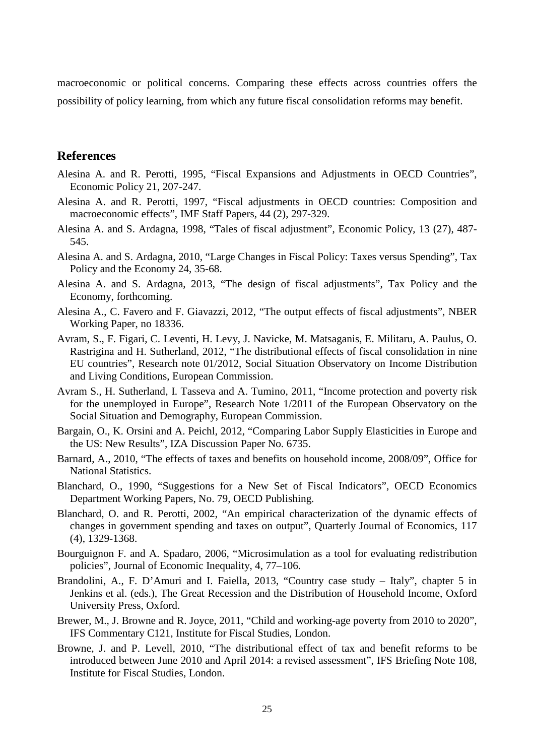macroeconomic or political concerns. Comparing these effects across countries offers the possibility of policy learning, from which any future fiscal consolidation reforms may benefit.

# **References**

- Alesina A. and R. Perotti, 1995, "Fiscal Expansions and Adjustments in OECD Countries", Economic Policy 21, 207-247.
- Alesina A. and R. Perotti, 1997, "Fiscal adjustments in OECD countries: Composition and macroeconomic effects", IMF Staff Papers, 44 (2), 297-329.
- Alesina A. and S. Ardagna, 1998, "Tales of fiscal adjustment", Economic Policy, 13 (27), 487- 545.
- Alesina A. and S. Ardagna, 2010, "Large Changes in Fiscal Policy: Taxes versus Spending", Tax Policy and the Economy 24, 35-68.
- Alesina A. and S. Ardagna, 2013, "The design of fiscal adjustments", Tax Policy and the Economy, forthcoming.
- Alesina A., C. Favero and F. Giavazzi, 2012, "The output effects of fiscal adjustments", NBER Working Paper, no 18336.
- Avram, S., F. Figari, C. Leventi, H. Levy, J. Navicke, M. Matsaganis, E. Militaru, A. Paulus, O. Rastrigina and H. Sutherland, 2012, "The distributional effects of fiscal consolidation in nine EU countries", Research note 01/2012, Social Situation Observatory on Income Distribution and Living Conditions, European Commission.
- Avram S., H. Sutherland, I. Tasseva and A. Tumino, 2011, "Income protection and poverty risk for the unemployed in Europe", Research Note 1/2011 of the European Observatory on the Social Situation and Demography, European Commission.
- Bargain, O., K. Orsini and A. Peichl, 2012, "Comparing Labor Supply Elasticities in Europe and the US: New Results", IZA Discussion Paper No. 6735.
- Barnard, A., 2010, "The effects of taxes and benefits on household income, 2008/09", Office for National Statistics.
- Blanchard, O., 1990, "Suggestions for a New Set of Fiscal Indicators", OECD Economics Department Working Papers, No. 79, OECD Publishing.
- Blanchard, O. and R. Perotti, 2002, "An empirical characterization of the dynamic effects of changes in government spending and taxes on output", Quarterly Journal of Economics, 117 (4), 1329-1368.
- Bourguignon F. and A. Spadaro, 2006, "Microsimulation as a tool for evaluating redistribution policies", Journal of Economic Inequality, 4, 77–106.
- Brandolini, A., F. D'Amuri and I. Faiella, 2013, "Country case study Italy", chapter 5 in Jenkins et al. (eds.), The Great Recession and the Distribution of Household Income, Oxford University Press, Oxford.
- Brewer, M., J. Browne and R. Joyce, 2011, "Child and working-age poverty from 2010 to 2020", IFS Commentary C121, Institute for Fiscal Studies, London.
- Browne, J. and P. Levell, 2010, "The distributional effect of tax and benefit reforms to be introduced between June 2010 and April 2014: a revised assessment", IFS Briefing Note 108, Institute for Fiscal Studies, London.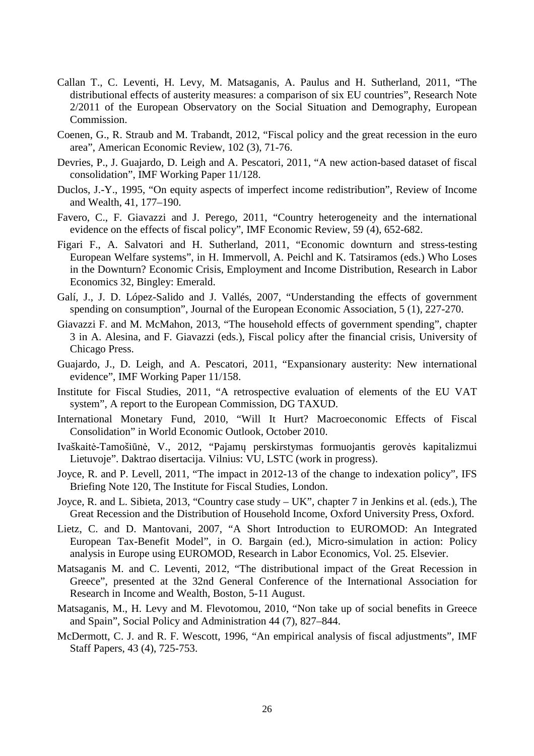- Callan T., C. Leventi, H. Levy, M. Matsaganis, A. Paulus and H. Sutherland, 2011, "The distributional effects of austerity measures: a comparison of six EU countries", Research Note 2/2011 of the European Observatory on the Social Situation and Demography, European Commission.
- Coenen, G., R. Straub and M. Trabandt, 2012, "Fiscal policy and the great recession in the euro area", American Economic Review, 102 (3), 71-76.
- Devries, P., J. Guajardo, D. Leigh and A. Pescatori, 2011, "A new action-based dataset of fiscal consolidation", IMF Working Paper 11/128.
- Duclos, J.-Y., 1995, "On equity aspects of imperfect income redistribution", Review of Income and Wealth, 41, 177–190.
- Favero, C., F. Giavazzi and J. Perego, 2011, "Country heterogeneity and the international evidence on the effects of fiscal policy", IMF Economic Review, 59 (4), 652-682.
- Figari F., A. Salvatori and H. Sutherland, 2011, "Economic downturn and stress-testing European Welfare systems", in H. Immervoll, A. Peichl and K. Tatsiramos (eds.) Who Loses in the Downturn? Economic Crisis, Employment and Income Distribution, Research in Labor Economics 32, Bingley: Emerald.
- Galí, J., J. D. López-Salido and J. Vallés, 2007, "Understanding the effects of government spending on consumption", Journal of the European Economic Association, 5 (1), 227-270.
- Giavazzi F. and M. McMahon, 2013, "The household effects of government spending", chapter 3 in A. Alesina, and F. Giavazzi (eds.), Fiscal policy after the financial crisis, University of Chicago Press.
- Guajardo, J., D. Leigh, and A. Pescatori, 2011, "Expansionary austerity: New international evidence", IMF Working Paper 11/158.
- Institute for Fiscal Studies, 2011, "A retrospective evaluation of elements of the EU VAT system", A report to the European Commission, DG TAXUD.
- International Monetary Fund, 2010, "Will It Hurt? Macroeconomic Effects of Fiscal Consolidation" in World Economic Outlook, October 2010.
- Ivaškaitė-Tamošiūnė, V., 2012, "Pajamų perskirstymas formuojantis gerovės kapitalizmui Lietuvoje". Daktrao disertacija. Vilnius: VU, LSTC (work in progress).
- Joyce, R. and P. Levell, 2011, "The impact in 2012-13 of the change to indexation policy", IFS Briefing Note 120, The Institute for Fiscal Studies, London.
- Joyce, R. and L. Sibieta, 2013, "Country case study UK", chapter 7 in Jenkins et al. (eds.), The Great Recession and the Distribution of Household Income, Oxford University Press, Oxford.
- Lietz, C. and D. Mantovani, 2007, "A Short Introduction to EUROMOD: An Integrated European Tax-Benefit Model", in O. Bargain (ed.), Micro-simulation in action: Policy analysis in Europe using EUROMOD, Research in Labor Economics, Vol. 25. Elsevier.
- Matsaganis M. and C. Leventi, 2012, "The distributional impact of the Great Recession in Greece", presented at the 32nd General Conference of the International Association for Research in Income and Wealth, Boston, 5-11 August.
- Matsaganis, M., H. Levy and M. Flevotomou, 2010, "Non take up of social benefits in Greece and Spain", Social Policy and Administration 44 (7), 827–844.
- McDermott, C. J. and R. F. Wescott, 1996, "An empirical analysis of fiscal adjustments", IMF Staff Papers, 43 (4), 725-753.